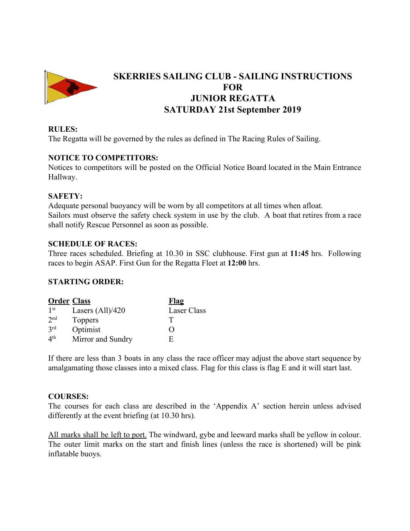

# **SKERRIES SAILING CLUB - SAILING INSTRUCTIONS FOR JUNIOR REGATTA SATURDAY 21st September 2019**

#### **RULES:**

The Regatta will be governed by the rules as defined in The Racing Rules of Sailing.

#### **NOTICE TO COMPETITORS:**

Notices to competitors will be posted on the Official Notice Board located in the Main Entrance Hallway.

#### **SAFETY:**

Adequate personal buoyancy will be worn by all competitors at all times when afloat. Sailors must observe the safety check system in use by the club. A boat that retires from a race shall notify Rescue Personnel as soon as possible.

#### **SCHEDULE OF RACES:**

Three races scheduled. Briefing at 10.30 in SSC clubhouse. First gun at **11:45** hrs. Following races to begin ASAP. First Gun for the Regatta Fleet at **12:00** hrs.

#### **STARTING ORDER:**

| <b>Order Class</b> |                    | <u>Flag</u> |
|--------------------|--------------------|-------------|
| 1 <sup>st</sup>    | Lasers $(All)/420$ | Laser Class |
| 2 <sub>nd</sub>    | <b>Toppers</b>     |             |
| 3 <sup>rd</sup>    | Optimist           | 0           |
| 4 <sup>th</sup>    | Mirror and Sundry  | H.          |

If there are less than 3 boats in any class the race officer may adjust the above start sequence by amalgamating those classes into a mixed class. Flag for this class is flag E and it will start last.

#### **COURSES:**

The courses for each class are described in the 'Appendix A' section herein unless advised differently at the event briefing (at 10.30 hrs).

All marks shall be left to port. The windward, gybe and leeward marks shall be yellow in colour. The outer limit marks on the start and finish lines (unless the race is shortened) will be pink inflatable buoys.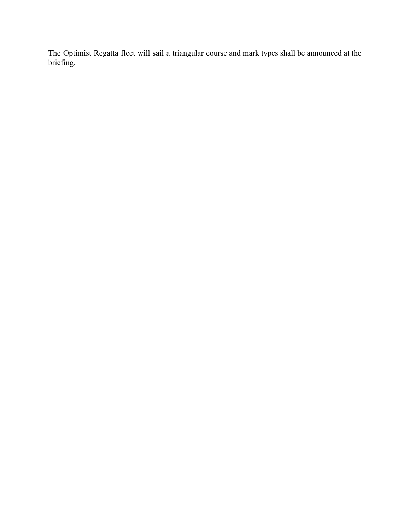The Optimist Regatta fleet will sail a triangular course and mark types shall be announced at the briefing.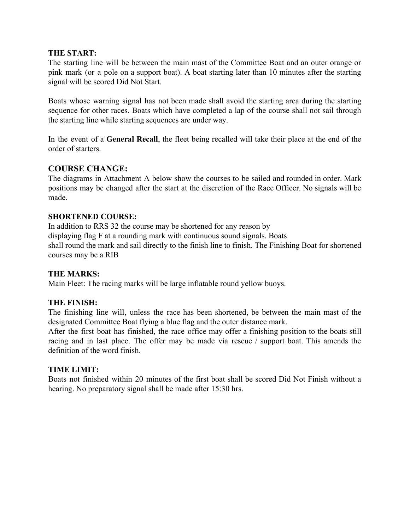#### **THE START:**

The starting line will be between the main mast of the Committee Boat and an outer orange or pink mark (or a pole on a support boat). A boat starting later than 10 minutes after the starting signal will be scored Did Not Start.

Boats whose warning signal has not been made shall avoid the starting area during the starting sequence for other races. Boats which have completed a lap of the course shall not sail through the starting line while starting sequences are under way.

In the event of a **General Recall**, the fleet being recalled will take their place at the end of the order of starters.

# **COURSE CHANGE:**

The diagrams in Attachment A below show the courses to be sailed and rounded in order. Mark positions may be changed after the start at the discretion of the Race Officer. No signals will be made.

## **SHORTENED COURSE:**

In addition to RRS 32 the course may be shortened for any reason by displaying flag F at a rounding mark with continuous sound signals. Boats shall round the mark and sail directly to the finish line to finish. The Finishing Boat for shortened courses may be a RIB

#### **THE MARKS:**

Main Fleet: The racing marks will be large inflatable round yellow buoys.

#### **THE FINISH:**

The finishing line will, unless the race has been shortened, be between the main mast of the designated Committee Boat flying a blue flag and the outer distance mark.

After the first boat has finished, the race office may offer a finishing position to the boats still racing and in last place. The offer may be made via rescue / support boat. This amends the definition of the word finish.

#### **TIME LIMIT:**

Boats not finished within 20 minutes of the first boat shall be scored Did Not Finish without a hearing. No preparatory signal shall be made after 15:30 hrs.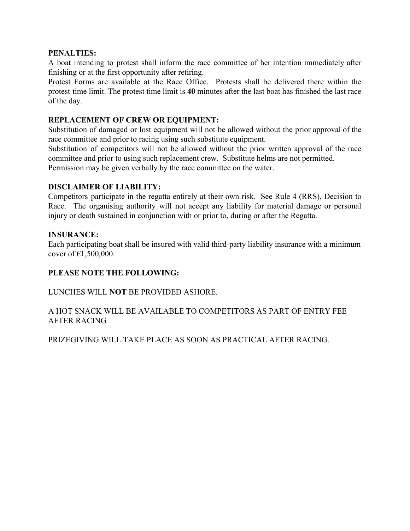#### **PENALTIES:**

A boat intending to protest shall inform the race committee of her intention immediately after finishing or at the first opportunity after retiring.

Protest Forms are available at the Race Office. Protests shall be delivered there within the protest time limit. The protest time limit is **40** minutes after the last boat has finished the last race of the day.

# **REPLACEMENT OF CREW OR EQUIPMENT:**

Substitution of damaged or lost equipment will not be allowed without the prior approval of the race committee and prior to racing using such substitute equipment.

Substitution of competitors will not be allowed without the prior written approval of the race committee and prior to using such replacement crew. Substitute helms are not permitted. Permission may be given verbally by the race committee on the water.

## **DISCLAIMER OF LIABILITY:**

Competitors participate in the regatta entirely at their own risk. See Rule 4 (RRS), Decision to Race. The organising authority will not accept any liability for material damage or personal injury or death sustained in conjunction with or prior to, during or after the Regatta.

#### **INSURANCE:**

Each participating boat shall be insured with valid third-party liability insurance with a minimum cover of  $£1,500,000$ .

# **PLEASE NOTE THE FOLLOWING:**

LUNCHES WILL **NOT** BE PROVIDED ASHORE.

# A HOT SNACK WILL BE AVAILABLE TO COMPETITORS AS PART OF ENTRY FEE AFTER RACING

PRIZEGIVING WILL TAKE PLACE AS SOON AS PRACTICAL AFTER RACING.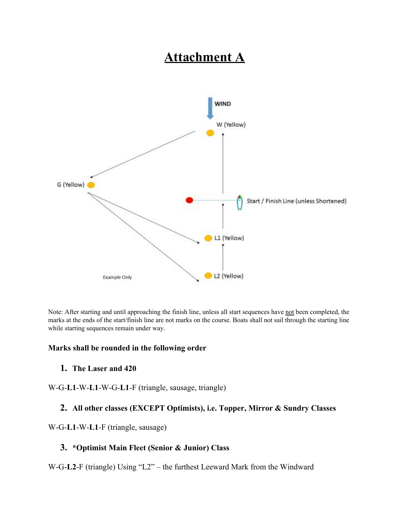# **Attachment A**



Note: After starting and until approaching the finish line, unless all start sequences have not been completed, the marks at the ends of the start/finish line are not marks on the course. Boats shall not sail through the starting line while starting sequences remain under way.

#### **Marks shall be rounded in the following order**

#### **1. The Laser and 420**

W-G-**L1**-W-**L1**-W-G-**L1**-F (triangle, sausage, triangle)

# **2. All other classes (EXCEPT Optimists), i.e. Topper, Mirror & Sundry Classes**

#### W-G-**L1**-W-**L1**-F (triangle, sausage)

# **3. \*Optimist Main Fleet (Senior & Junior) Class**

W-G-**L2**-F (triangle) Using "L2" – the furthest Leeward Mark from the Windward